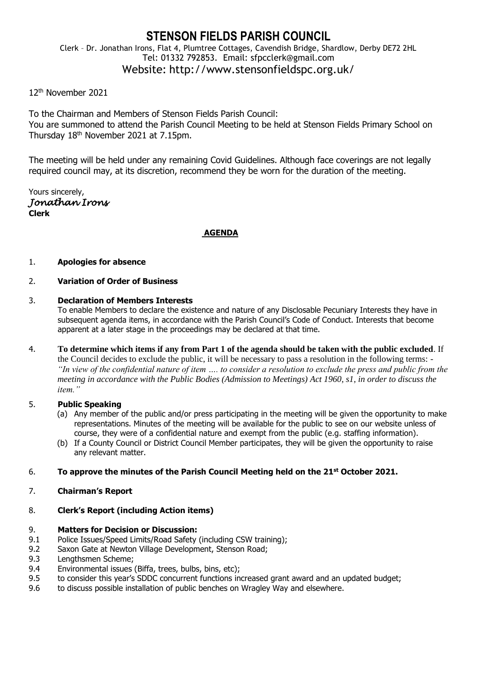## **STENSON FIELDS PARISH COUNCIL** Clerk – Dr. Jonathan Irons, Flat 4, Plumtree Cottages, Cavendish Bridge, Shardlow, Derby DE72 2HL Tel: 01332 792853. Email: sfpcclerk@gmail.com Website: http://www.stensonfieldspc.org.uk/

## 12th November 2021

To the Chairman and Members of Stenson Fields Parish Council: You are summoned to attend the Parish Council Meeting to be held at Stenson Fields Primary School on Thursday 18<sup>th</sup> November 2021 at 7.15pm.

The meeting will be held under any remaining Covid Guidelines. Although face coverings are not legally required council may, at its discretion, recommend they be worn for the duration of the meeting.

Yours sincerely, *Jonathan Irons*  **Clerk**

#### **AGENDA**

#### 1. **Apologies for absence**

### 2. **Variation of Order of Business**

### 3. **Declaration of Members Interests**

To enable Members to declare the existence and nature of any Disclosable Pecuniary Interests they have in subsequent agenda items, in accordance with the Parish Council's Code of Conduct. Interests that become apparent at a later stage in the proceedings may be declared at that time.

4. **To determine which items if any from Part 1 of the agenda should be taken with the public excluded**. If the Council decides to exclude the public, it will be necessary to pass a resolution in the following terms: - *"In view of the confidential nature of item …. to consider a resolution to exclude the press and public from the meeting in accordance with the Public Bodies (Admission to Meetings) Act 1960, s1, in order to discuss the item."* 

## 5. **Public Speaking**

- (a) Any member of the public and/or press participating in the meeting will be given the opportunity to make representations. Minutes of the meeting will be available for the public to see on our website unless of course, they were of a confidential nature and exempt from the public (e.g. staffing information).
- (b) If a County Council or District Council Member participates, they will be given the opportunity to raise any relevant matter.

## 6. **To approve the minutes of the Parish Council Meeting held on the 21 st October 2021.**

7. **Chairman's Report**

# 8. **Clerk's Report (including Action items)**

## 9. **Matters for Decision or Discussion:**

- 9.1 Police Issues/Speed Limits/Road Safety (including CSW training);
- 9.2 Saxon Gate at Newton Village Development, Stenson Road;
- 9.3 Lengthsmen Scheme;
- 9.4 Environmental issues (Biffa, trees, bulbs, bins, etc);
- 9.5 to consider this year's SDDC concurrent functions increased grant award and an updated budget;
- 9.6 to discuss possible installation of public benches on Wragley Way and elsewhere.